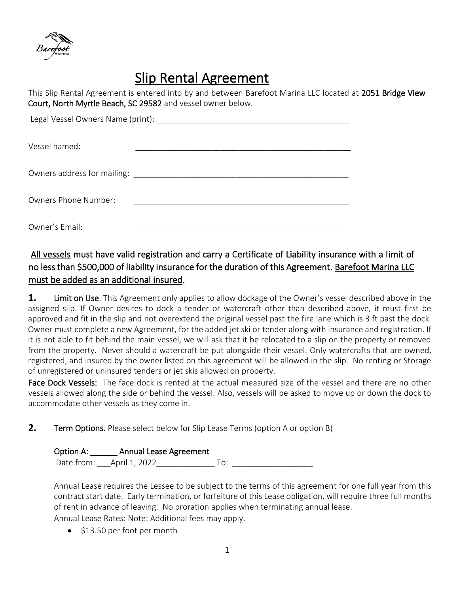

# Slip Rental Agreement

This Slip Rental Agreement is entered into by and between Barefoot Marina LLC located at 2051 Bridge View Court, North Myrtle Beach, SC 29582 and vessel owner below.

| Legal Vessel Owners Name (print): ___________ |  |
|-----------------------------------------------|--|
| Vessel named:                                 |  |
| Owners address for mailing:                   |  |
| <b>Owners Phone Number:</b>                   |  |
| Owner's Email:                                |  |

# All vessels must have valid registration and carry a Certificate of Liability insurance with a limit of no less than \$500,000 of liability insurance for the duration of this Agreement. Barefoot Marina LLC must be added as an additional insured.

**1.** Limit on Use. This Agreement only applies to allow dockage of the Owner's vessel described above in the assigned slip. If Owner desires to dock a tender or watercraft other than described above, it must first be approved and fit in the slip and not overextend the original vessel past the fire lane which is 3 ft past the dock. Owner must complete a new Agreement, for the added jet ski or tender along with insurance and registration. If it is not able to fit behind the main vessel, we will ask that it be relocated to a slip on the property or removed from the property. Never should a watercraft be put alongside their vessel. Only watercrafts that are owned, registered, and insured by the owner listed on this agreement will be allowed in the slip. No renting or Storage of unregistered or uninsured tenders or jet skis allowed on property.

Face Dock Vessels: The face dock is rented at the actual measured size of the vessel and there are no other vessels allowed along the side or behind the vessel. Also, vessels will be asked to move up or down the dock to accommodate other vessels as they come in.

**2.** Term Options. Please select below for Slip Lease Terms (option A or option B)

#### Option A: \_\_\_\_\_\_ Annual Lease Agreement

Date from: \_\_\_April 1, 2022\_\_\_\_\_\_\_\_\_\_\_\_\_ To: \_\_\_\_\_\_\_\_\_\_\_\_\_\_\_\_\_\_

Annual Lease requires the Lessee to be subject to the terms of this agreement for one full year from this contract start date. Early termination, or forfeiture of this Lease obligation, will require three full months of rent in advance of leaving. No proration applies when terminating annual lease.

Annual Lease Rates: Note: Additional fees may apply.

• \$13.50 per foot per month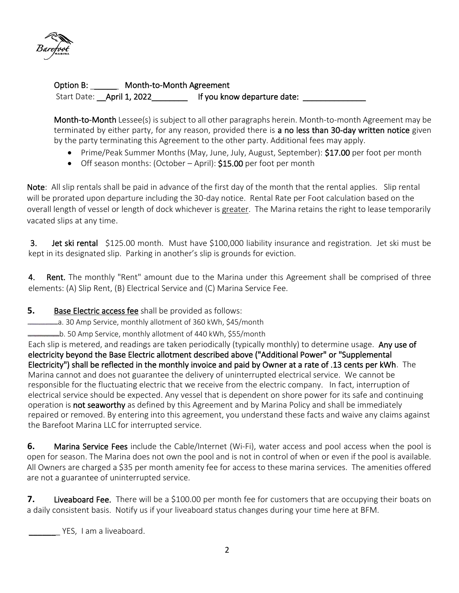

Option B: \_\_\_\_\_ Month-to-Month Agreement Start Date: **April 1, 2022 If you know departure date: April 1, 2022 If you know departure date:** 

Month-to-Month Lessee(s) is subject to all other paragraphs herein. Month-to-month Agreement may be terminated by either party, for any reason, provided there is a no less than 30-day written notice given by the party terminating this Agreement to the other party. Additional fees may apply.

- Prime/Peak Summer Months (May, June, July, August, September): \$17.00 per foot per month
- Off season months: (October April): \$15.00 per foot per month

Note: All slip rentals shall be paid in advance of the first day of the month that the rental applies. Slip rental will be prorated upon departure including the 30-day notice. Rental Rate per Foot calculation based on the overall length of vessel or length of dock whichever is greater. The Marina retains the right to lease temporarily vacated slips at any time.

3. Jet ski rental \$125.00 month. Must have \$100,000 liability insurance and registration. Jet ski must be kept in its designated slip. Parking in another's slip is grounds for eviction.

4. Rent. The monthly "Rent" amount due to the Marina under this Agreement shall be comprised of three elements: (A) Slip Rent, (B) Electrical Service and (C) Marina Service Fee.

- **5.** Base Electric access fee shall be provided as follows:
- a. 30 Amp Service, monthly allotment of 360 kWh, \$45/month
- b. 50 Amp Service, monthly allotment of 440 kWh, \$55/month

Each slip is metered, and readings are taken periodically (typically monthly) to determine usage. Any use of electricity beyond the Base Electric allotment described above ("Additional Power" or "Supplemental Electricity") shall be reflected in the monthly invoice and paid by Owner at a rate of .13 cents per kWh. The Marina cannot and does not guarantee the delivery of uninterrupted electrical service. We cannot be responsible for the fluctuating electric that we receive from the electric company. In fact, interruption of electrical service should be expected. Any vessel that is dependent on shore power for its safe and continuing operation is not seaworthy as defined by this Agreement and by Marina Policy and shall be immediately repaired or removed. By entering into this agreement, you understand these facts and waive any claims against the Barefoot Marina LLC for interrupted service.

**6.** Marina Service Fees include the Cable/Internet (Wi-Fi), water access and pool access when the pool is open for season. The Marina does not own the pool and is not in control of when or even if the pool is available. All Owners are charged a \$35 per month amenity fee for access to these marina services. The amenities offered are not a guarantee of uninterrupted service.

**7.** Liveaboard Fee. There will be a \$100.00 per month fee for customers that are occupying their boats on a daily consistent basis. Notify us if your liveaboard status changes during your time here at BFM.

YES, I am a liveaboard.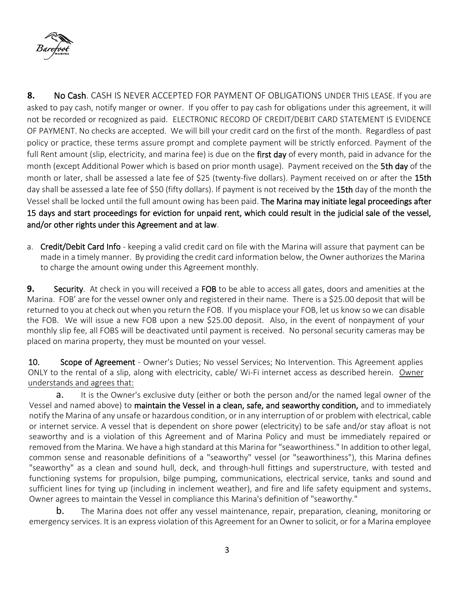

**8.** No Cash. CASH IS NEVER ACCEPTED FOR PAYMENT OF OBLIGATIONS UNDER THIS LEASE. If you are asked to pay cash, notify manger or owner. If you offer to pay cash for obligations under this agreement, it will not be recorded or recognized as paid. ELECTRONIC RECORD OF CREDIT/DEBIT CARD STATEMENT IS EVIDENCE OF PAYMENT. No checks are accepted. We will bill your credit card on the first of the month. Regardless of past policy or practice, these terms assure prompt and complete payment will be strictly enforced. Payment of the full Rent amount (slip, electricity, and marina fee) is due on the first day of every month, paid in advance for the month (except Additional Power which is based on prior month usage). Payment received on the 5th day of the month or later, shall be assessed a late fee of \$25 (twenty-five dollars). Payment received on or after the 15th day shall be assessed a late fee of \$50 (fifty dollars). If payment is not received by the 15th day of the month the Vessel shall be locked until the full amount owing has been paid. The Marina may initiate legal proceedings after 15 days and start proceedings for eviction for unpaid rent, which could result in the judicial sale of the vessel, and/or other rights under this Agreement and at law.

a. Credit/Debit Card Info - keeping a valid credit card on file with the Marina will assure that payment can be made in a timely manner. By providing the credit card information below, the Owner authorizes the Marina to charge the amount owing under this Agreement monthly.

**9.** Security. At check in you will received a FOB to be able to access all gates, doors and amenities at the Marina. FOB' are for the vessel owner only and registered in their name. There is a \$25.00 deposit that will be returned to you at check out when you return the FOB. If you misplace your FOB, let us know so we can disable the FOB. We will issue a new FOB upon a new \$25.00 deposit. Also, in the event of nonpayment of your monthly slip fee, all FOBS will be deactivated until payment is received. No personal security cameras may be placed on marina property, they must be mounted on your vessel.

10. Scope of Agreement - Owner's Duties; No vessel Services; No Intervention. This Agreement applies ONLY to the rental of a slip, along with electricity, cable/ Wi-Fi internet access as described herein. Owner understands and agrees that:

a. It is the Owner's exclusive duty (either or both the person and/or the named legal owner of the Vessel and named above) to maintain the Vessel in a clean, safe, and seaworthy condition, and to immediately notify the Marina of any unsafe or hazardous condition, or in any interruption of or problem with electrical, cable or internet service. A vessel that is dependent on shore power (electricity) to be safe and/or stay afloat is not seaworthy and is a violation of this Agreement and of Marina Policy and must be immediately repaired or removed from the Marina. We have a high standard at this Marina for "seaworthiness." In addition to other legal, common sense and reasonable definitions of a "seaworthy" vessel (or "seaworthiness"), this Marina defines "seaworthy" as a clean and sound hull, deck, and through-hull fittings and superstructure, with tested and functioning systems for propulsion, bilge pumping, communications, electrical service, tanks and sound and sufficient lines for tying up (including in inclement weather), and fire and life safety equipment and systems. Owner agrees to maintain the Vessel in compliance this Marina's definition of "seaworthy."

b. The Marina does not offer any vessel maintenance, repair, preparation, cleaning, monitoring or emergency services. It is an express violation of this Agreement for an Owner to solicit, or for a Marina employee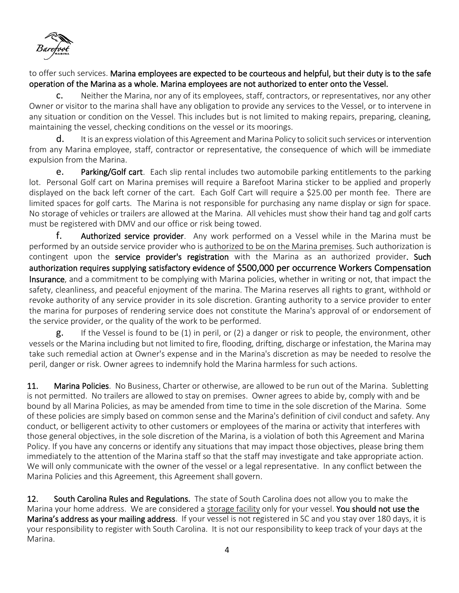

## to offer such services. Marina employees are expected to be courteous and helpful, but their duty is to the safe operation of the Marina as a whole. Marina employees are not authorized to enter onto the Vessel.

c. Neither the Marina, nor any of its employees, staff, contractors, or representatives, nor any other Owner or visitor to the marina shall have any obligation to provide any services to the Vessel, or to intervene in any situation or condition on the Vessel. This includes but is not limited to making repairs, preparing, cleaning, maintaining the vessel, checking conditions on the vessel or its moorings.

**d.** It is an express violation of this Agreement and Marina Policy to solicit such services or intervention from any Marina employee, staff, contractor or representative, the consequence of which will be immediate expulsion from the Marina.

e. Parking/Golf cart. Each slip rental includes two automobile parking entitlements to the parking lot. Personal Golf cart on Marina premises will require a Barefoot Marina sticker to be applied and properly displayed on the back left corner of the cart. Each Golf Cart will require a \$25.00 per month fee. There are limited spaces for golf carts. The Marina is not responsible for purchasing any name display or sign for space. No storage of vehicles or trailers are allowed at the Marina. All vehicles must show their hand tag and golf carts must be registered with DMV and our office or risk being towed.

f. Authorized service provider. Any work performed on a Vessel while in the Marina must be performed by an outside service provider who is authorized to be on the Marina premises. Such authorization is contingent upon the service provider's registration with the Marina as an authorized provider. Such authorization requires supplying satisfactory evidence of \$500,000 per occurrence Workers Compensation Insurance, and a commitment to be complying with Marina policies, whether in writing or not, that impact the safety, cleanliness, and peaceful enjoyment of the marina. The Marina reserves all rights to grant, withhold or revoke authority of any service provider in its sole discretion. Granting authority to a service provider to enter the marina for purposes of rendering service does not constitute the Marina's approval of or endorsement of the service provider, or the quality of the work to be performed.

g. If the Vessel is found to be (1) in peril, or (2) a danger or risk to people, the environment, other vessels or the Marina including but not limited to fire, flooding, drifting, discharge or infestation, the Marina may take such remedial action at Owner's expense and in the Marina's discretion as may be needed to resolve the peril, danger or risk. Owner agrees to indemnify hold the Marina harmless for such actions.

11. Marina Policies. No Business, Charter or otherwise, are allowed to be run out of the Marina. Subletting is not permitted. No trailers are allowed to stay on premises. Owner agrees to abide by, comply with and be bound by all Marina Policies, as may be amended from time to time in the sole discretion of the Marina. Some of these policies are simply based on common sense and the Marina's definition of civil conduct and safety. Any conduct, or belligerent activity to other customers or employees of the marina or activity that interferes with those general objectives, in the sole discretion of the Marina, is a violation of both this Agreement and Marina Policy. If you have any concerns or identify any situations that may impact those objectives, please bring them immediately to the attention of the Marina staff so that the staff may investigate and take appropriate action. We will only communicate with the owner of the vessel or a legal representative. In any conflict between the Marina Policies and this Agreement, this Agreement shall govern.

12. South Carolina Rules and Regulations. The state of South Carolina does not allow you to make the Marina your home address. We are considered a storage facility only for your vessel. You should not use the Marina's address as your mailing address. If your vessel is not registered in SC and you stay over 180 days, it is your responsibility to register with South Carolina. It is not our responsibility to keep track of your days at the Marina.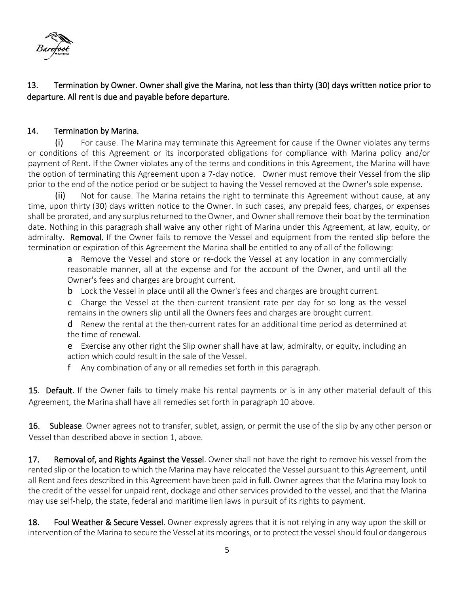

13. Termination by Owner. Owner shall give the Marina, not less than thirty (30) days written notice prior to departure. All rent is due and payable before departure.

## 14. Termination by Marina.

(i) For cause. The Marina may terminate this Agreement for cause if the Owner violates any terms or conditions of this Agreement or its incorporated obligations for compliance with Marina policy and/or payment of Rent. If the Owner violates any of the terms and conditions in this Agreement, the Marina will have the option of terminating this Agreement upon a 7-day notice. Owner must remove their Vessel from the slip prior to the end of the notice period or be subject to having the Vessel removed at the Owner's sole expense.

(ii) Not for cause. The Marina retains the right to terminate this Agreement without cause, at any time, upon thirty (30) days written notice to the Owner. In such cases, any prepaid fees, charges, or expenses shall be prorated, and any surplus returned to the Owner, and Owner shall remove their boat by the termination date. Nothing in this paragraph shall waive any other right of Marina under this Agreement, at law, equity, or admiralty. Removal. If the Owner fails to remove the Vessel and equipment from the rented slip before the termination or expiration of this Agreement the Marina shall be entitled to any of all of the following:

a Remove the Vessel and store or re-dock the Vessel at any location in any commercially reasonable manner, all at the expense and for the account of the Owner, and until all the Owner's fees and charges are brought current.

**b** Lock the Vessel in place until all the Owner's fees and charges are brought current.

c Charge the Vessel at the then-current transient rate per day for so long as the vessel remains in the owners slip until all the Owners fees and charges are brought current.

d Renew the rental at the then-current rates for an additional time period as determined at the time of renewal.

e Exercise any other right the Slip owner shall have at law, admiralty, or equity, including an action which could result in the sale of the Vessel.

f Any combination of any or all remedies set forth in this paragraph.

15. Default. If the Owner fails to timely make his rental payments or is in any other material default of this Agreement, the Marina shall have all remedies set forth in paragraph 10 above.

16. Sublease. Owner agrees not to transfer, sublet, assign, or permit the use of the slip by any other person or Vessel than described above in section 1, above.

17. Removal of, and Rights Against the Vessel. Owner shall not have the right to remove his vessel from the rented slip or the location to which the Marina may have relocated the Vessel pursuant to this Agreement, until all Rent and fees described in this Agreement have been paid in full. Owner agrees that the Marina may look to the credit of the vessel for unpaid rent, dockage and other services provided to the vessel, and that the Marina may use self-help, the state, federal and maritime lien laws in pursuit of its rights to payment.

18. Foul Weather & Secure Vessel. Owner expressly agrees that it is not relying in any way upon the skill or intervention of the Marina to secure the Vessel at its moorings, or to protect the vessel should foul or dangerous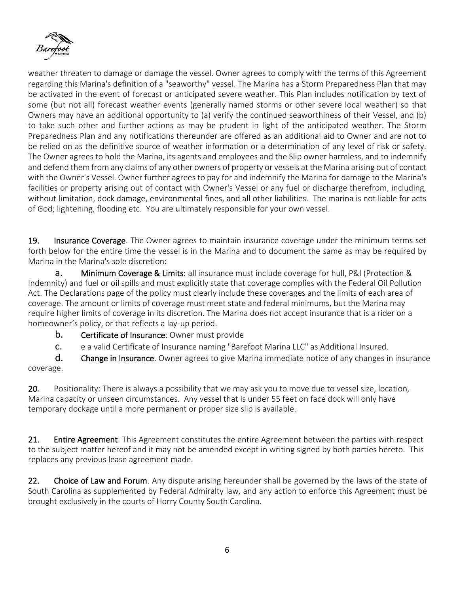

weather threaten to damage or damage the vessel. Owner agrees to comply with the terms of this Agreement regarding this Marina's definition of a "seaworthy" vessel. The Marina has a Storm Preparedness Plan that may be activated in the event of forecast or anticipated severe weather. This Plan includes notification by text of some (but not all) forecast weather events (generally named storms or other severe local weather) so that Owners may have an additional opportunity to (a) verify the continued seaworthiness of their Vessel, and (b) to take such other and further actions as may be prudent in light of the anticipated weather. The Storm Preparedness Plan and any notifications thereunder are offered as an additional aid to Owner and are not to be relied on as the definitive source of weather information or a determination of any level of risk or safety. The Owner agrees to hold the Marina, its agents and employees and the Slip owner harmless, and to indemnify and defend them from any claims of any other owners of property or vessels at the Marina arising out of contact with the Owner's Vessel. Owner further agrees to pay for and indemnify the Marina for damage to the Marina's facilities or property arising out of contact with Owner's Vessel or any fuel or discharge therefrom, including, without limitation, dock damage, environmental fines, and all other liabilities. The marina is not liable for acts of God; lightening, flooding etc. You are ultimately responsible for your own vessel.

19. Insurance Coverage. The Owner agrees to maintain insurance coverage under the minimum terms set forth below for the entire time the vessel is in the Marina and to document the same as may be required by Marina in the Marina's sole discretion:

**a.** Minimum Coverage & Limits: all insurance must include coverage for hull, P&I (Protection & Indemnity) and fuel or oil spills and must explicitly state that coverage complies with the Federal Oil Pollution Act. The Declarations page of the policy must clearly include these coverages and the limits of each area of coverage. The amount or limits of coverage must meet state and federal minimums, but the Marina may require higher limits of coverage in its discretion. The Marina does not accept insurance that is a rider on a homeowner's policy, or that reflects a lay-up period.

- **b.** Certificate of Insurance: Owner must provide
- c. e a valid Certificate of Insurance naming "Barefoot Marina LLC" as Additional Insured.

d. Change in Insurance. Owner agrees to give Marina immediate notice of any changes in insurance coverage.

20. Positionality: There is always a possibility that we may ask you to move due to vessel size, location, Marina capacity or unseen circumstances. Any vessel that is under 55 feet on face dock will only have temporary dockage until a more permanent or proper size slip is available.

21. Entire Agreement. This Agreement constitutes the entire Agreement between the parties with respect to the subject matter hereof and it may not be amended except in writing signed by both parties hereto. This replaces any previous lease agreement made.

22. Choice of Law and Forum. Any dispute arising hereunder shall be governed by the laws of the state of South Carolina as supplemented by Federal Admiralty law, and any action to enforce this Agreement must be brought exclusively in the courts of Horry County South Carolina.